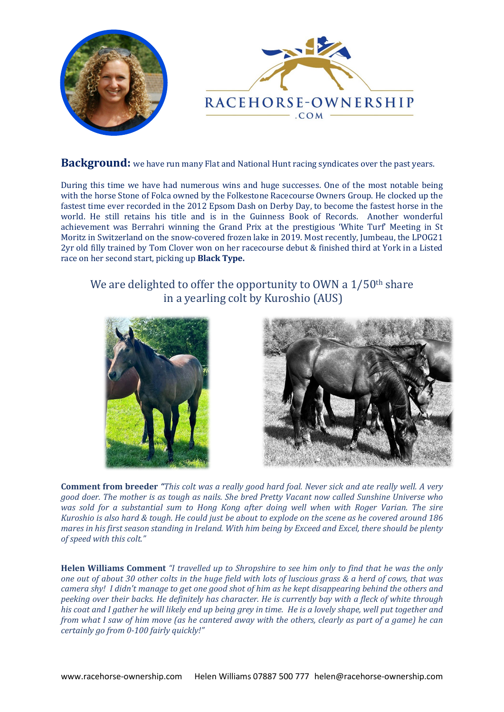

## Background: we have run many Flat and National Hunt racing syndicates over the past years.

During this time we have had numerous wins and huge successes. One of the most notable being with the horse Stone of Folca owned by the Folkestone Racecourse Owners Group. He clocked up the fastest time ever recorded in the 2012 Epsom Dash on Derby Day, to become the fastest horse in the world. He still retains his title and is in the Guinness Book of Records. Another wonderful achievement was Berrahri winning the Grand Prix at the prestigious 'White Turf' Meeting in St Moritz in Switzerland on the snow-covered frozen lake in 2019. Most recently, Jumbeau, the LPOG21 2yr old filly trained by Tom Clover won on her racecourse debut & finished third at York in a Listed race on her second start, picking up **Black Type.**

## We are delighted to offer the opportunity to OWN a  $1/50<sup>th</sup>$  share in a yearling colt by Kuroshio (AUS)





**Comment from breeder** *"This colt was a really good hard foal. Never sick and ate really well. A very good doer. The mother is as tough as nails. She bred Pretty Vacant now called Sunshine Universe who was sold for a substantial sum to Hong Kong after doing well when with Roger Varian. The sire Kuroshio is also hard & tough. He could just be about to explode on the scene as he covered around 186 mares in his first season standing in Ireland. With him being by Exceed and Excel, there should be plenty of speed with this colt."*

**Helen Williams Comment** *"I travelled up to Shropshire to see him only to find that he was the only one out of about 30 other colts in the huge field with lots of luscious grass & a herd of cows, that was camera shy! I didn't manage to get one good shot of him as he kept disappearing behind the others and peeking over their backs. He definitely has character. He is currently bay with a fleck of white through his coat and I gather he will likely end up being grey in time. He is a lovely shape, well put together and from what I saw of him move (as he cantered away with the others, clearly as part of a game) he can certainly go from 0-100 fairly quickly!"*